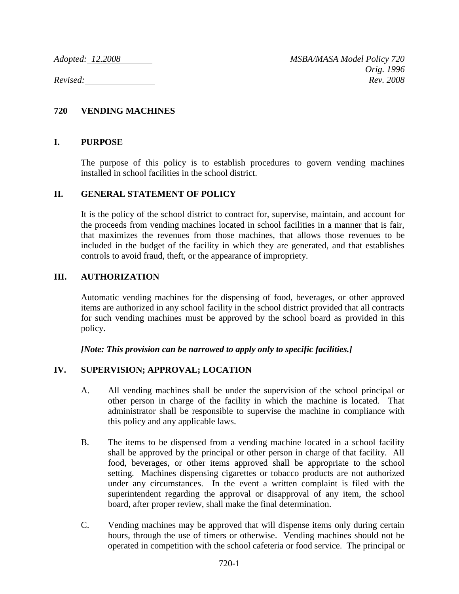# **720 VENDING MACHINES**

#### **I. PURPOSE**

The purpose of this policy is to establish procedures to govern vending machines installed in school facilities in the school district.

#### **II. GENERAL STATEMENT OF POLICY**

It is the policy of the school district to contract for, supervise, maintain, and account for the proceeds from vending machines located in school facilities in a manner that is fair, that maximizes the revenues from those machines, that allows those revenues to be included in the budget of the facility in which they are generated, and that establishes controls to avoid fraud, theft, or the appearance of impropriety.

#### **III. AUTHORIZATION**

Automatic vending machines for the dispensing of food, beverages, or other approved items are authorized in any school facility in the school district provided that all contracts for such vending machines must be approved by the school board as provided in this policy.

*[Note: This provision can be narrowed to apply only to specific facilities.]*

## **IV. SUPERVISION; APPROVAL; LOCATION**

- A. All vending machines shall be under the supervision of the school principal or other person in charge of the facility in which the machine is located. That administrator shall be responsible to supervise the machine in compliance with this policy and any applicable laws.
- B. The items to be dispensed from a vending machine located in a school facility shall be approved by the principal or other person in charge of that facility. All food, beverages, or other items approved shall be appropriate to the school setting. Machines dispensing cigarettes or tobacco products are not authorized under any circumstances. In the event a written complaint is filed with the superintendent regarding the approval or disapproval of any item, the school board, after proper review, shall make the final determination.
- C. Vending machines may be approved that will dispense items only during certain hours, through the use of timers or otherwise. Vending machines should not be operated in competition with the school cafeteria or food service. The principal or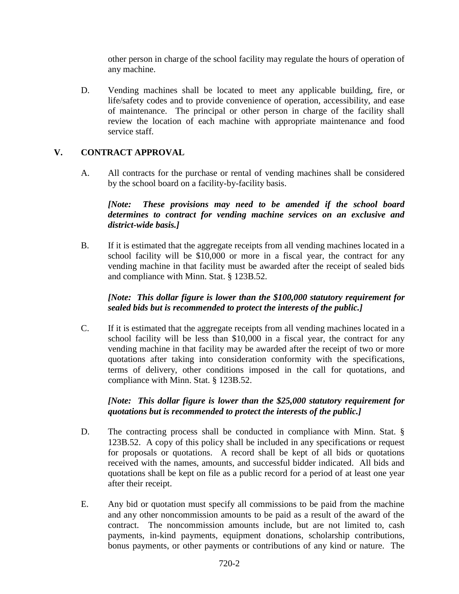other person in charge of the school facility may regulate the hours of operation of any machine.

D. Vending machines shall be located to meet any applicable building, fire, or life/safety codes and to provide convenience of operation, accessibility, and ease of maintenance. The principal or other person in charge of the facility shall review the location of each machine with appropriate maintenance and food service staff.

## **V. CONTRACT APPROVAL**

A. All contracts for the purchase or rental of vending machines shall be considered by the school board on a facility-by-facility basis.

## *[Note: These provisions may need to be amended if the school board determines to contract for vending machine services on an exclusive and district-wide basis.]*

B. If it is estimated that the aggregate receipts from all vending machines located in a school facility will be \$10,000 or more in a fiscal year, the contract for any vending machine in that facility must be awarded after the receipt of sealed bids and compliance with Minn. Stat. § 123B.52.

## *[Note: This dollar figure is lower than the \$100,000 statutory requirement for sealed bids but is recommended to protect the interests of the public.]*

C. If it is estimated that the aggregate receipts from all vending machines located in a school facility will be less than \$10,000 in a fiscal year, the contract for any vending machine in that facility may be awarded after the receipt of two or more quotations after taking into consideration conformity with the specifications, terms of delivery, other conditions imposed in the call for quotations, and compliance with Minn. Stat. § 123B.52.

#### *[Note: This dollar figure is lower than the \$25,000 statutory requirement for quotations but is recommended to protect the interests of the public.]*

- D. The contracting process shall be conducted in compliance with Minn. Stat. § 123B.52. A copy of this policy shall be included in any specifications or request for proposals or quotations. A record shall be kept of all bids or quotations received with the names, amounts, and successful bidder indicated. All bids and quotations shall be kept on file as a public record for a period of at least one year after their receipt.
- E. Any bid or quotation must specify all commissions to be paid from the machine and any other noncommission amounts to be paid as a result of the award of the contract. The noncommission amounts include, but are not limited to, cash payments, in-kind payments, equipment donations, scholarship contributions, bonus payments, or other payments or contributions of any kind or nature. The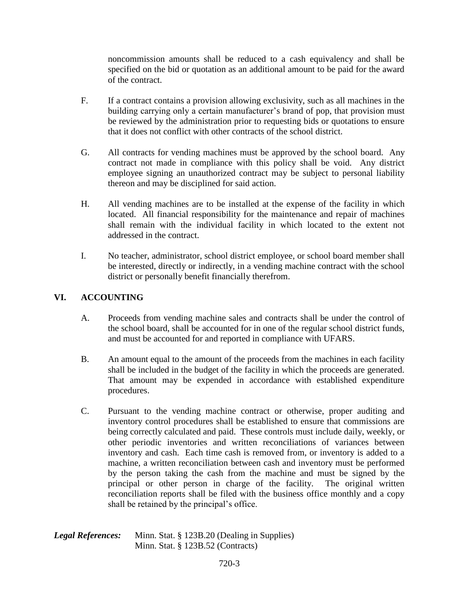noncommission amounts shall be reduced to a cash equivalency and shall be specified on the bid or quotation as an additional amount to be paid for the award of the contract.

- F. If a contract contains a provision allowing exclusivity, such as all machines in the building carrying only a certain manufacturer's brand of pop, that provision must be reviewed by the administration prior to requesting bids or quotations to ensure that it does not conflict with other contracts of the school district.
- G. All contracts for vending machines must be approved by the school board. Any contract not made in compliance with this policy shall be void. Any district employee signing an unauthorized contract may be subject to personal liability thereon and may be disciplined for said action.
- H. All vending machines are to be installed at the expense of the facility in which located. All financial responsibility for the maintenance and repair of machines shall remain with the individual facility in which located to the extent not addressed in the contract.
- I. No teacher, administrator, school district employee, or school board member shall be interested, directly or indirectly, in a vending machine contract with the school district or personally benefit financially therefrom.

# **VI. ACCOUNTING**

- A. Proceeds from vending machine sales and contracts shall be under the control of the school board, shall be accounted for in one of the regular school district funds, and must be accounted for and reported in compliance with UFARS.
- B. An amount equal to the amount of the proceeds from the machines in each facility shall be included in the budget of the facility in which the proceeds are generated. That amount may be expended in accordance with established expenditure procedures.
- C. Pursuant to the vending machine contract or otherwise, proper auditing and inventory control procedures shall be established to ensure that commissions are being correctly calculated and paid. These controls must include daily, weekly, or other periodic inventories and written reconciliations of variances between inventory and cash. Each time cash is removed from, or inventory is added to a machine, a written reconciliation between cash and inventory must be performed by the person taking the cash from the machine and must be signed by the principal or other person in charge of the facility. The original written reconciliation reports shall be filed with the business office monthly and a copy shall be retained by the principal's office.

| <b>Legal References:</b> | Minn. Stat. § 123B.20 (Dealing in Supplies) |
|--------------------------|---------------------------------------------|
|                          | Minn. Stat. $\S$ 123B.52 (Contracts)        |